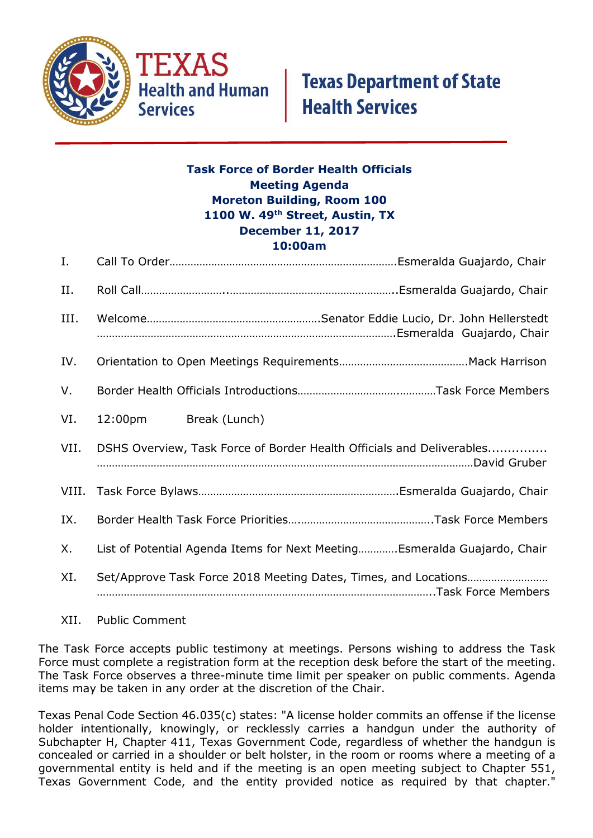

## **Task Force of Border Health Officials Meeting Agenda Moreton Building, Room 100 1100 W. 49th Street, Austin, TX December 11, 2017 10:00am**

| Ι.   |                                                                          |
|------|--------------------------------------------------------------------------|
| II.  |                                                                          |
| III. |                                                                          |
| IV.  |                                                                          |
| V.   |                                                                          |
| VI.  | 12:00pm Break (Lunch)                                                    |
| VII. | DSHS Overview, Task Force of Border Health Officials and Deliverables    |
|      |                                                                          |
| IX.  |                                                                          |
| Х.   | List of Potential Agenda Items for Next MeetingEsmeralda Guajardo, Chair |
| XI.  |                                                                          |

XII. Public Comment

The Task Force accepts public testimony at meetings. Persons wishing to address the Task Force must complete a registration form at the reception desk before the start of the meeting. The Task Force observes a three-minute time limit per speaker on public comments. Agenda items may be taken in any order at the discretion of the Chair.

Texas Penal Code Section 46.035(c) states: "A license holder commits an offense if the license holder intentionally, knowingly, or recklessly carries a handgun under the authority of Subchapter H, Chapter 411, Texas Government Code, regardless of whether the handgun is concealed or carried in a shoulder or belt holster, in the room or rooms where a meeting of a governmental entity is held and if the meeting is an open meeting subject to Chapter 551, Texas Government Code, and the entity provided notice as required by that chapter."